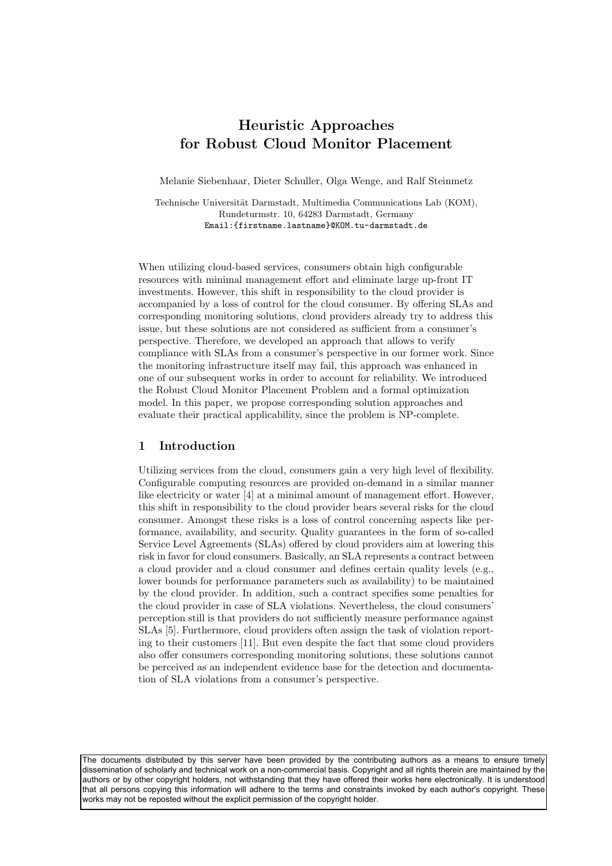# Heuristic Approaches for Robust Cloud Monitor Placement

Melanie Siebenhaar, Dieter Schuller, Olga Wenge, and Ralf Steinmetz

Technische Universität Darmstadt, Multimedia Communications Lab (KOM), Rundeturmstr. 10, 64283 Darmstadt, Germany Email:{firstname.lastname}@KOM.tu-darmstadt.de

When utilizing cloud-based services, consumers obtain high configurable resources with minimal management effort and eliminate large up-front IT investments. However, this shift in responsibility to the cloud provider is accompanied by a loss of control for the cloud consumer. By offering SLAs and corresponding monitoring solutions, cloud providers already try to address this issue, but these solutions are not considered as sufficient from a consumer's perspective. Therefore, we developed an approach that allows to verify compliance with SLAs from a consumer's perspective in our former work. Since the monitoring infrastructure itself may fail, this approach was enhanced in one of our subsequent works in order to account for reliability. We introduced the Robust Cloud Monitor Placement Problem and a formal optimization model. In this paper, we propose corresponding solution approaches and evaluate their practical applicability, since the problem is NP-complete.

# 1 Introduction

Utilizing services from the cloud, consumers gain a very high level of flexibility. Configurable computing resources are provided on-demand in a similar manner like electricity or water [4] at a minimal amount of management effort. However, this shift in responsibility to the cloud provider bears several risks for the cloud consumer. Amongst these risks is a loss of control concerning aspects like performance, availability, and security. Quality guarantees in the form of so-called Service Level Agreements (SLAs) offered by cloud providers aim at lowering this risk in favor for cloud consumers. Basically, an SLA represents a contract between a cloud provider and a cloud consumer and defines certain quality levels (e.g., lower bounds for performance parameters such as availability) to be maintained by the cloud provider. In addition, such a contract specifies some penalties for the cloud provider in case of SLA violations. Nevertheless, the cloud consumers' perception still is that providers do not sufficiently measure performance against SLAs [5]. Furthermore, cloud providers often assign the task of violation reporting to their customers [11]. But even despite the fact that some cloud providers also offer consumers corresponding monitoring solutions, these solutions cannot be perceived as an independent evidence base for the detection and documentation of SLA violations from a consumer's perspective.

The documents distributed by this server have been provided by the contributing authors as a means to ensure timely dissemination of scholarly and technical work on a non-commercial basis. Copyright and all rights therein are maintained by the authors or by other copyright holders, not withstanding that they have offered their works here electronically. It is understood that all persons copying this information will adhere to the terms and constraints invoked by each author's copyright. These works may not be reposted without the explicit permission of the copyright holder.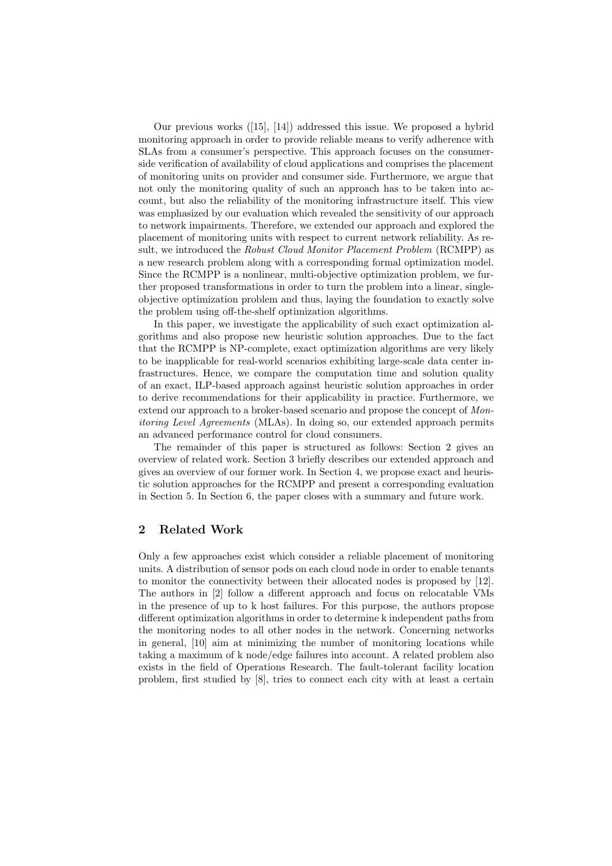Our previous works ([15], [14]) addressed this issue. We proposed a hybrid monitoring approach in order to provide reliable means to verify adherence with SLAs from a consumer's perspective. This approach focuses on the consumerside verification of availability of cloud applications and comprises the placement of monitoring units on provider and consumer side. Furthermore, we argue that not only the monitoring quality of such an approach has to be taken into account, but also the reliability of the monitoring infrastructure itself. This view was emphasized by our evaluation which revealed the sensitivity of our approach to network impairments. Therefore, we extended our approach and explored the placement of monitoring units with respect to current network reliability. As result, we introduced the Robust Cloud Monitor Placement Problem (RCMPP) as a new research problem along with a corresponding formal optimization model. Since the RCMPP is a nonlinear, multi-objective optimization problem, we further proposed transformations in order to turn the problem into a linear, singleobjective optimization problem and thus, laying the foundation to exactly solve the problem using off-the-shelf optimization algorithms.

In this paper, we investigate the applicability of such exact optimization algorithms and also propose new heuristic solution approaches. Due to the fact that the RCMPP is NP-complete, exact optimization algorithms are very likely to be inapplicable for real-world scenarios exhibiting large-scale data center infrastructures. Hence, we compare the computation time and solution quality of an exact, ILP-based approach against heuristic solution approaches in order to derive recommendations for their applicability in practice. Furthermore, we extend our approach to a broker-based scenario and propose the concept of Monitoring Level Agreements (MLAs). In doing so, our extended approach permits an advanced performance control for cloud consumers.

The remainder of this paper is structured as follows: Section 2 gives an overview of related work. Section 3 briefly describes our extended approach and gives an overview of our former work. In Section 4, we propose exact and heuristic solution approaches for the RCMPP and present a corresponding evaluation in Section 5. In Section 6, the paper closes with a summary and future work.

# 2 Related Work

Only a few approaches exist which consider a reliable placement of monitoring units. A distribution of sensor pods on each cloud node in order to enable tenants to monitor the connectivity between their allocated nodes is proposed by [12]. The authors in [2] follow a different approach and focus on relocatable VMs in the presence of up to k host failures. For this purpose, the authors propose different optimization algorithms in order to determine k independent paths from the monitoring nodes to all other nodes in the network. Concerning networks in general, [10] aim at minimizing the number of monitoring locations while taking a maximum of k node/edge failures into account. A related problem also exists in the field of Operations Research. The fault-tolerant facility location problem, first studied by [8], tries to connect each city with at least a certain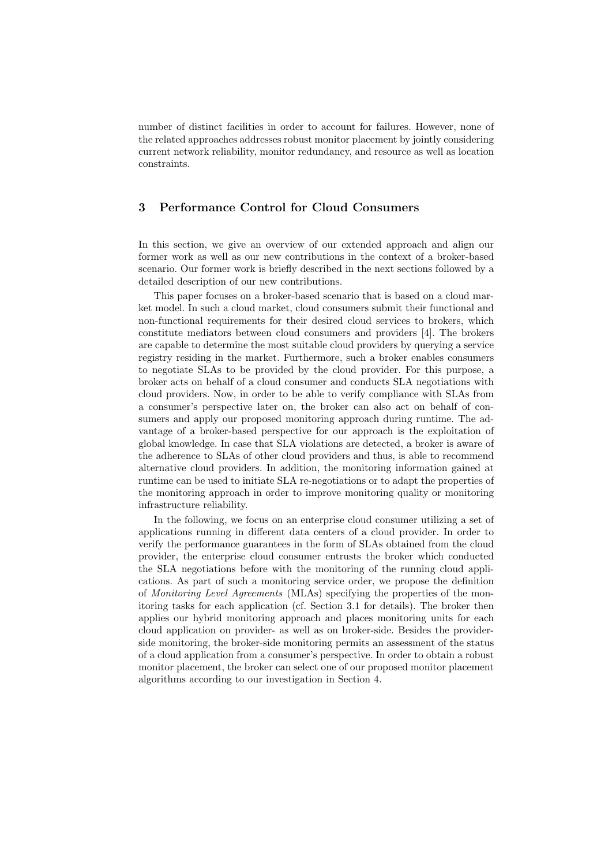number of distinct facilities in order to account for failures. However, none of the related approaches addresses robust monitor placement by jointly considering current network reliability, monitor redundancy, and resource as well as location constraints.

# 3 Performance Control for Cloud Consumers

In this section, we give an overview of our extended approach and align our former work as well as our new contributions in the context of a broker-based scenario. Our former work is briefly described in the next sections followed by a detailed description of our new contributions.

This paper focuses on a broker-based scenario that is based on a cloud market model. In such a cloud market, cloud consumers submit their functional and non-functional requirements for their desired cloud services to brokers, which constitute mediators between cloud consumers and providers [4]. The brokers are capable to determine the most suitable cloud providers by querying a service registry residing in the market. Furthermore, such a broker enables consumers to negotiate SLAs to be provided by the cloud provider. For this purpose, a broker acts on behalf of a cloud consumer and conducts SLA negotiations with cloud providers. Now, in order to be able to verify compliance with SLAs from a consumer's perspective later on, the broker can also act on behalf of consumers and apply our proposed monitoring approach during runtime. The advantage of a broker-based perspective for our approach is the exploitation of global knowledge. In case that SLA violations are detected, a broker is aware of the adherence to SLAs of other cloud providers and thus, is able to recommend alternative cloud providers. In addition, the monitoring information gained at runtime can be used to initiate SLA re-negotiations or to adapt the properties of the monitoring approach in order to improve monitoring quality or monitoring infrastructure reliability.

In the following, we focus on an enterprise cloud consumer utilizing a set of applications running in different data centers of a cloud provider. In order to verify the performance guarantees in the form of SLAs obtained from the cloud provider, the enterprise cloud consumer entrusts the broker which conducted the SLA negotiations before with the monitoring of the running cloud applications. As part of such a monitoring service order, we propose the definition of Monitoring Level Agreements (MLAs) specifying the properties of the monitoring tasks for each application (cf. Section 3.1 for details). The broker then applies our hybrid monitoring approach and places monitoring units for each cloud application on provider- as well as on broker-side. Besides the providerside monitoring, the broker-side monitoring permits an assessment of the status of a cloud application from a consumer's perspective. In order to obtain a robust monitor placement, the broker can select one of our proposed monitor placement algorithms according to our investigation in Section 4.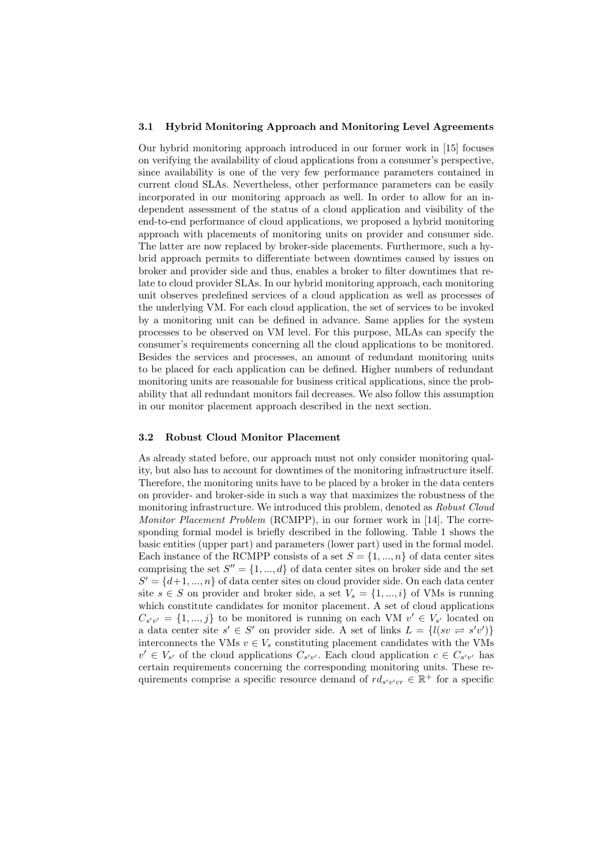#### 3.1 Hybrid Monitoring Approach and Monitoring Level Agreements

Our hybrid monitoring approach introduced in our former work in [15] focuses on verifying the availability of cloud applications from a consumer's perspective, since availability is one of the very few performance parameters contained in current cloud SLAs. Nevertheless, other performance parameters can be easily incorporated in our monitoring approach as well. In order to allow for an independent assessment of the status of a cloud application and visibility of the end-to-end performance of cloud applications, we proposed a hybrid monitoring approach with placements of monitoring units on provider and consumer side. The latter are now replaced by broker-side placements. Furthermore, such a hybrid approach permits to differentiate between downtimes caused by issues on broker and provider side and thus, enables a broker to filter downtimes that relate to cloud provider SLAs. In our hybrid monitoring approach, each monitoring unit observes predefined services of a cloud application as well as processes of the underlying VM. For each cloud application, the set of services to be invoked by a monitoring unit can be defined in advance. Same applies for the system processes to be observed on VM level. For this purpose, MLAs can specify the consumer's requirements concerning all the cloud applications to be monitored. Besides the services and processes, an amount of redundant monitoring units to be placed for each application can be defined. Higher numbers of redundant monitoring units are reasonable for business critical applications, since the probability that all redundant monitors fail decreases. We also follow this assumption in our monitor placement approach described in the next section.

# 3.2 Robust Cloud Monitor Placement

As already stated before, our approach must not only consider monitoring quality, but also has to account for downtimes of the monitoring infrastructure itself. Therefore, the monitoring units have to be placed by a broker in the data centers on provider- and broker-side in such a way that maximizes the robustness of the monitoring infrastructure. We introduced this problem, denoted as *Robust Cloud* Monitor Placement Problem (RCMPP), in our former work in [14]. The corresponding formal model is briefly described in the following. Table 1 shows the basic entities (upper part) and parameters (lower part) used in the formal model. Each instance of the RCMPP consists of a set  $S = \{1, ..., n\}$  of data center sites comprising the set  $S'' = \{1, ..., d\}$  of data center sites on broker side and the set  $S' = \{d+1, ..., n\}$  of data center sites on cloud provider side. On each data center site  $s \in S$  on provider and broker side, a set  $V_s = \{1, ..., i\}$  of VMs is running which constitute candidates for monitor placement. A set of cloud applications  $C_{s'v'} = \{1, ..., j\}$  to be monitored is running on each VM  $v' \in V_{s'}$  located on a data center site  $s' \in S'$  on provider side. A set of links  $L = \{l(sv \rightleftharpoons s'v')\}$ interconnects the VMs  $v \in V_s$  constituting placement candidates with the VMs  $v' \in V_{s'}$  of the cloud applications  $C_{s'v'}$ . Each cloud application  $c \in C_{s'v'}$  has certain requirements concerning the corresponding monitoring units. These requirements comprise a specific resource demand of  $rd_{s'v'cr} \in \mathbb{R}^+$  for a specific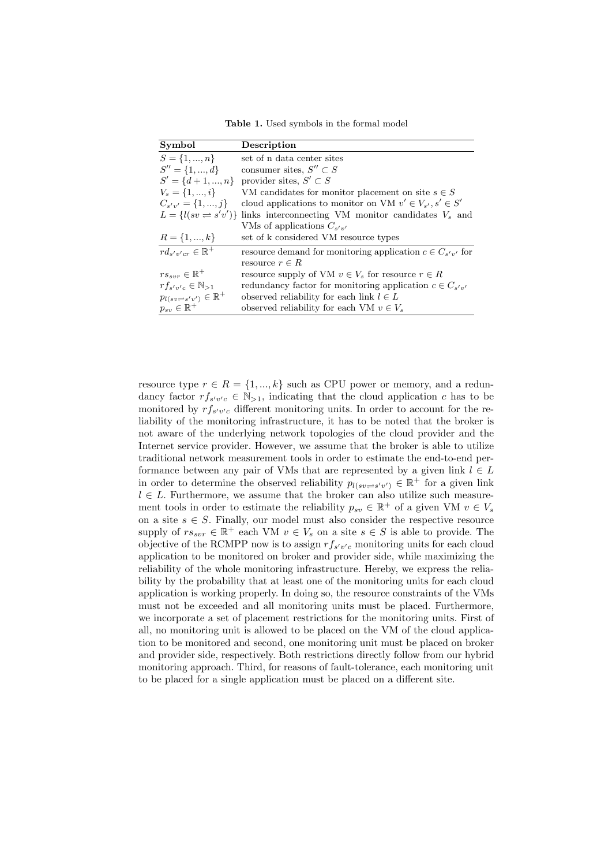Table 1. Used symbols in the formal model

| Symbol                                               | Description                                                                                   |  |  |  |
|------------------------------------------------------|-----------------------------------------------------------------------------------------------|--|--|--|
| $S = \{1, , n\}$                                     | set of n data center sites                                                                    |  |  |  |
| $S'' = \{1, , d\}$                                   | consumer sites, $S'' \subset S$                                                               |  |  |  |
| $S' = \{d+1, , n\}$                                  | provider sites, $S' \subset S$                                                                |  |  |  |
| $V_s = \{1, , i\}$                                   | VM candidates for monitor placement on site $s \in S$                                         |  |  |  |
| $C_{s'v'} = \{1, , j\}$                              | cloud applications to monitor on VM $v' \in V_{s'}$ , $s' \in S'$                             |  |  |  |
|                                                      | $L = \{l(sv \rightleftharpoons s'v')\}$ links interconnecting VM monitor candidates $V_s$ and |  |  |  |
|                                                      | VMs of applications $C_{s'v'}$                                                                |  |  |  |
| $R = \{1, , k\}$                                     | set of k considered VM resource types                                                         |  |  |  |
| $rd_{s'v'cr} \in \mathbb{R}^+$                       | resource demand for monitoring application $c \in C_{s'v'}$ for                               |  |  |  |
|                                                      | resource $r \in R$                                                                            |  |  |  |
| $rs_{\text{sur}} \in \mathbb{R}^+$                   | resource supply of VM $v \in V_s$ for resource $r \in R$                                      |  |  |  |
| $rf_{s',v'c} \in \mathbb{N}_{>1}$                    | redundancy factor for monitoring application $c \in C_{s'v'}$                                 |  |  |  |
| $p_{l(sv \rightleftharpoons s'v')} \in \mathbb{R}^+$ | observed reliability for each link $l \in L$                                                  |  |  |  |
| $p_{sv} \in \mathbb{R}^+$                            | observed reliability for each VM $v \in V_s$                                                  |  |  |  |

resource type  $r \in R = \{1, ..., k\}$  such as CPU power or memory, and a redundancy factor  $rf_{s'v'c} \in \mathbb{N}_{>1}$ , indicating that the cloud application c has to be monitored by  $rf_{s'v'c}$  different monitoring units. In order to account for the reliability of the monitoring infrastructure, it has to be noted that the broker is not aware of the underlying network topologies of the cloud provider and the Internet service provider. However, we assume that the broker is able to utilize traditional network measurement tools in order to estimate the end-to-end performance between any pair of VMs that are represented by a given link  $l \in L$ in order to determine the observed reliability  $p_{l(sv \rightleftharpoons s'v')} \in \mathbb{R}^+$  for a given link  $l \in L$ . Furthermore, we assume that the broker can also utilize such measurement tools in order to estimate the reliability  $p_{sv} \in \mathbb{R}^+$  of a given VM  $v \in V_s$ on a site  $s \in S$ . Finally, our model must also consider the respective resource supply of  $rs_{svr} \in \mathbb{R}^+$  each VM  $v \in V_s$  on a site  $s \in S$  is able to provide. The objective of the RCMPP now is to assign  $rf_{s'v'c}$  monitoring units for each cloud application to be monitored on broker and provider side, while maximizing the reliability of the whole monitoring infrastructure. Hereby, we express the reliability by the probability that at least one of the monitoring units for each cloud application is working properly. In doing so, the resource constraints of the VMs must not be exceeded and all monitoring units must be placed. Furthermore, we incorporate a set of placement restrictions for the monitoring units. First of all, no monitoring unit is allowed to be placed on the VM of the cloud application to be monitored and second, one monitoring unit must be placed on broker and provider side, respectively. Both restrictions directly follow from our hybrid monitoring approach. Third, for reasons of fault-tolerance, each monitoring unit to be placed for a single application must be placed on a different site.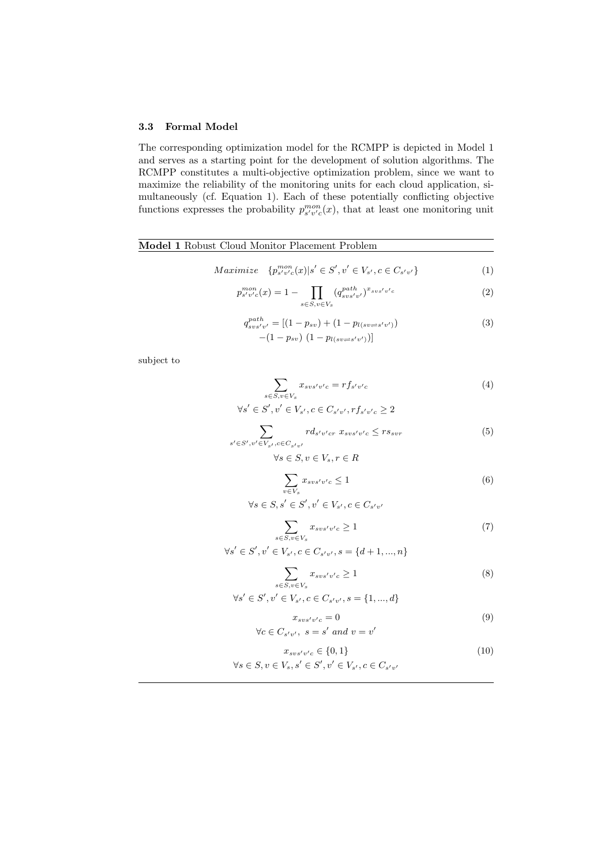#### 3.3 Formal Model

The corresponding optimization model for the RCMPP is depicted in Model 1 and serves as a starting point for the development of solution algorithms. The RCMPP constitutes a multi-objective optimization problem, since we want to maximize the reliability of the monitoring units for each cloud application, simultaneously (cf. Equation 1). Each of these potentially conflicting objective functions expresses the probability  $p_{s'v'c}^{mon}(x)$ , that at least one monitoring unit

|  |  | Model 1 Robust Cloud Monitor Placement Problem |  |  |
|--|--|------------------------------------------------|--|--|
|  |  |                                                |  |  |

$$
Maximize \quad \{p_{s'v'c}^{mon}(x)|s' \in S', v' \in V_{s'}, c \in C_{s'v'}\}
$$
\n
$$
(1)
$$

$$
p_{s'v'c}^{mon}(x) = 1 - \prod_{s \in S, v \in V_s} (q_{svs'v'}^{path})^{x_{svs'v'c}}
$$
 (2)

$$
q_{svs'v'}^{path} = [(1 - p_{sv}) + (1 - p_{l(sv \Rightarrow s'v')})
$$
  
-(1 - p\_{sv}) (1 - p\_{l(sv \Rightarrow s'v')})] (3)

subject to

$$
\sum_{s \in S, v \in V_s} x_{svs'v'c} = r f_{s'v'c}
$$
 (4)

$$
\forall s' \in S', v' \in V_{s'}, c \in C_{s'v'}, rf_{s'v'c} \geq 2
$$

$$
\sum_{s' \in S', v' \in V_{s'}, c \in C_{s'v'}} r d_{s'v'cr} x_{svs'v'c} \le rs_{svr}
$$
\n
$$
(5)
$$

 $\forall s \in S, v \in V_s, r \in R$ 

$$
\sum_{v \in V_s} x_{svs'v'c} \le 1\tag{6}
$$

 $\forall s \in S, s' \in S', v' \in V_{s'}, c \in C_{s'v'}$ 

$$
\sum_{s \in S, v \in V_s} x_{svs'v'c} \ge 1\tag{7}
$$

 $\forall s' \in S', v' \in V_{s'}, c \in C_{s'v'}, s = \{d+1, ..., n\}$ 

$$
\sum_{s \in S, v \in V_s} x_{svs'v'c} \ge 1\tag{8}
$$

$$
\forall s' \in S', v' \in V_{s'}, c \in C_{s'v'}, s = \{1, ..., d\}
$$

$$
x_{svs'v'c} = 0
$$
  
\n
$$
\forall c \in C_{s'v'}, \ s = s' \ and \ v = v'
$$
\n(9)

$$
x_{svs'v'c} \in \{0, 1\}
$$
  
\n
$$
\forall s \in S, v \in V_s, s' \in S', v' \in V_{s'}, c \in C_{s'v'}
$$
\n(10)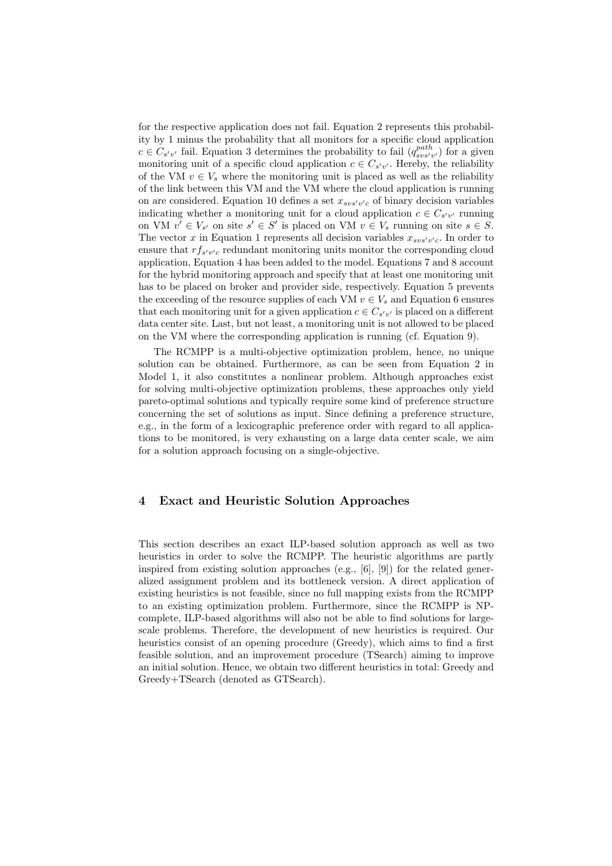for the respective application does not fail. Equation 2 represents this probability by 1 minus the probability that all monitors for a specific cloud application  $c \in C_{s'v'}$  fail. Equation 3 determines the probability to fail  $(q_{sss'v'}^{path})$  for a given monitoring unit of a specific cloud application  $c \in C_{s'v'}$ . Hereby, the reliability of the VM  $v \in V_s$  where the monitoring unit is placed as well as the reliability of the link between this VM and the VM where the cloud application is running on are considered. Equation 10 defines a set  $x_{svs'v'c}$  of binary decision variables indicating whether a monitoring unit for a cloud application  $c \in C_{s'v'}$  running on VM  $v' \in V_{s'}$  on site  $s' \in S'$  is placed on VM  $v \in V_s$  running on site  $s \in S$ . The vector x in Equation 1 represents all decision variables  $x_{svs'v'c}$ . In order to ensure that  $rf_{s'v'c}$  redundant monitoring units monitor the corresponding cloud application, Equation 4 has been added to the model. Equations 7 and 8 account for the hybrid monitoring approach and specify that at least one monitoring unit has to be placed on broker and provider side, respectively. Equation 5 prevents the exceeding of the resource supplies of each VM  $v \in V_s$  and Equation 6 ensures that each monitoring unit for a given application  $c \in C_{s'v'}$  is placed on a different data center site. Last, but not least, a monitoring unit is not allowed to be placed on the VM where the corresponding application is running (cf. Equation 9).

The RCMPP is a multi-objective optimization problem, hence, no unique solution can be obtained. Furthermore, as can be seen from Equation 2 in Model 1, it also constitutes a nonlinear problem. Although approaches exist for solving multi-objective optimization problems, these approaches only yield pareto-optimal solutions and typically require some kind of preference structure concerning the set of solutions as input. Since defining a preference structure, e.g., in the form of a lexicographic preference order with regard to all applications to be monitored, is very exhausting on a large data center scale, we aim for a solution approach focusing on a single-objective.

# 4 Exact and Heuristic Solution Approaches

This section describes an exact ILP-based solution approach as well as two heuristics in order to solve the RCMPP. The heuristic algorithms are partly inspired from existing solution approaches (e.g., [6], [9]) for the related generalized assignment problem and its bottleneck version. A direct application of existing heuristics is not feasible, since no full mapping exists from the RCMPP to an existing optimization problem. Furthermore, since the RCMPP is NPcomplete, ILP-based algorithms will also not be able to find solutions for largescale problems. Therefore, the development of new heuristics is required. Our heuristics consist of an opening procedure (Greedy), which aims to find a first feasible solution, and an improvement procedure (TSearch) aiming to improve an initial solution. Hence, we obtain two different heuristics in total: Greedy and Greedy+TSearch (denoted as GTSearch).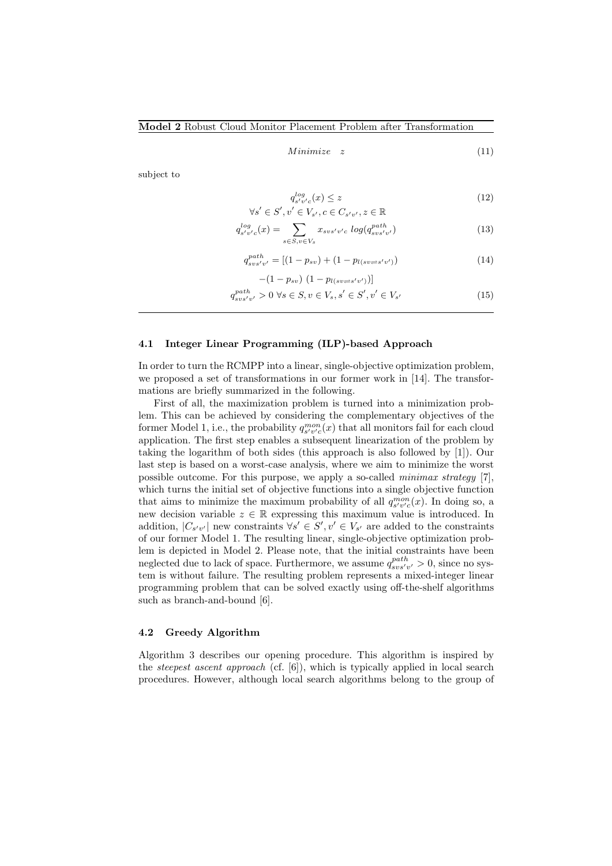$$
Minimize \t z \t(11)
$$

subject to

$$
q_{s'v'c}^{log}(x) \le z
$$
  
\n
$$
\forall s' \in S', v' \in V_{s'}, c \in C_{s'v'}, z \in \mathbb{R}
$$
\n
$$
(12)
$$

$$
q_{s'v'c}^{log}(x) = \sum_{s \in S, v \in V_s} x_{svs'v'c} \log(q_{svs'v'}^{path})
$$
\n(13)

$$
q_{svs'v'}^{path} = [(1 - p_{sv}) + (1 - p_{l(sv \rightleftharpoons s'v')})
$$
\n(14)

$$
-(1-p_{sv})\left(1-p_{l(sv\Rightarrow s'v')}\right)
$$

$$
q_{svs'v'}^{path} > 0 \,\forall s \in S, v \in V_s, s' \in S', v' \in V_{s'}
$$
\n
$$
(15)
$$

#### 4.1 Integer Linear Programming (ILP)-based Approach

In order to turn the RCMPP into a linear, single-objective optimization problem, we proposed a set of transformations in our former work in [14]. The transformations are briefly summarized in the following.

First of all, the maximization problem is turned into a minimization problem. This can be achieved by considering the complementary objectives of the former Model 1, i.e., the probability  $q_{s'v'c}^{mon}(x)$  that all monitors fail for each cloud application. The first step enables a subsequent linearization of the problem by taking the logarithm of both sides (this approach is also followed by [1]). Our last step is based on a worst-case analysis, where we aim to minimize the worst possible outcome. For this purpose, we apply a so-called minimax strategy [7], which turns the initial set of objective functions into a single objective function that aims to minimize the maximum probability of all  $q_{s'v'c}^{mon}(x)$ . In doing so, a new decision variable  $z \in \mathbb{R}$  expressing this maximum value is introduced. In addition,  $|C_{s'v'}|$  new constraints  $\forall s' \in S', v' \in V_{s'}$  are added to the constraints of our former Model 1. The resulting linear, single-objective optimization problem is depicted in Model 2. Please note, that the initial constraints have been neglected due to lack of space. Furthermore, we assume  $q_{sss'v'}^{path} > 0$ , since no system is without failure. The resulting problem represents a mixed-integer linear programming problem that can be solved exactly using off-the-shelf algorithms such as branch-and-bound [6].

#### 4.2 Greedy Algorithm

Algorithm 3 describes our opening procedure. This algorithm is inspired by the steepest ascent approach (cf. [6]), which is typically applied in local search procedures. However, although local search algorithms belong to the group of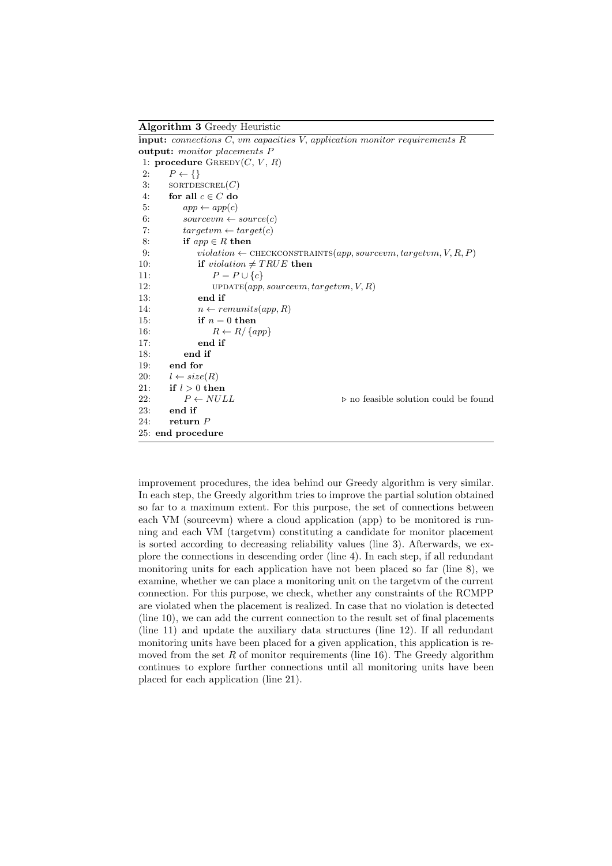Algorithm 3 Greedy Heuristic

input: connections C, vm capacities V, application monitor requirements R output: monitor placements P 1: procedure  $\text{GREEDY}(C, V, R)$ 2:  $P \leftarrow \{\}$ 3:  $SORTDESCREL(C)$ 4: for all  $c \in C$  do 5:  $app \leftarrow app(c)$ 6:  $sourcevm \leftarrow source(c)$ 7:  $targetvm \leftarrow target(c)$ 8: if  $app \in R$  then 9:  $violation \leftarrow$  CHECKCONSTRAINTS(app, sourcevm, targetvm,  $V, R, P$ ) 10: **if**  $violation \neq TRUE$  then 11:  $P = P \cup \{c\}$ 12:  $\text{UPDATE}(app, sourcevm, targetvm, V, R)$ 13: end if 14:  $n \leftarrow \text{remunits}(\text{app}, R)$ 15: if  $n = 0$  then 16:  $R \leftarrow R / \{app\}$ 17: end if 18: end if 19: end for 20:  $l \leftarrow size(R)$ 21: if  $l > 0$  then 22:  $P \leftarrow NULL$   $\triangleright$  no feasible solution could be found 23: end if 24: return  $P$ 25: end procedure

improvement procedures, the idea behind our Greedy algorithm is very similar. In each step, the Greedy algorithm tries to improve the partial solution obtained so far to a maximum extent. For this purpose, the set of connections between each VM (sourcevm) where a cloud application (app) to be monitored is running and each VM (targetvm) constituting a candidate for monitor placement is sorted according to decreasing reliability values (line 3). Afterwards, we explore the connections in descending order (line 4). In each step, if all redundant monitoring units for each application have not been placed so far (line 8), we examine, whether we can place a monitoring unit on the targetvm of the current connection. For this purpose, we check, whether any constraints of the RCMPP are violated when the placement is realized. In case that no violation is detected (line 10), we can add the current connection to the result set of final placements (line 11) and update the auxiliary data structures (line 12). If all redundant monitoring units have been placed for a given application, this application is removed from the set R of monitor requirements (line 16). The Greedy algorithm continues to explore further connections until all monitoring units have been placed for each application (line 21).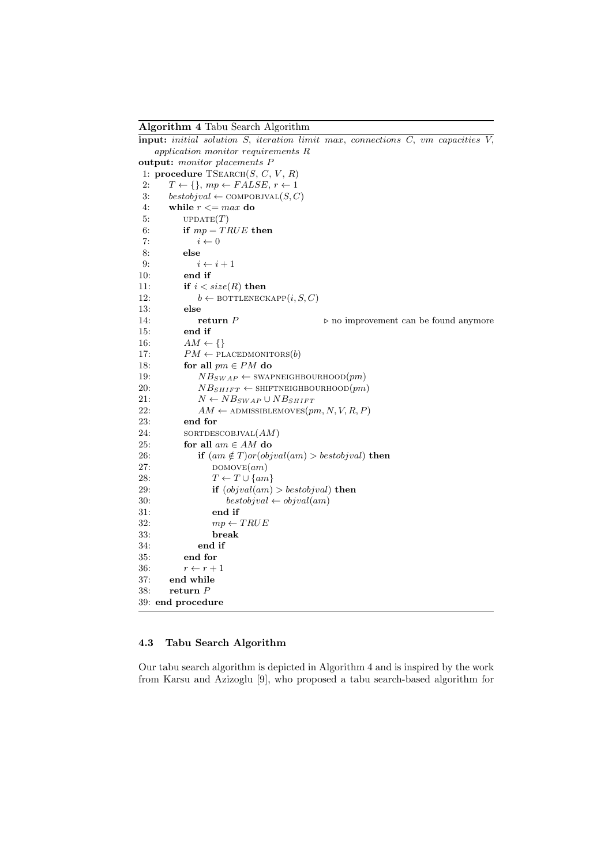#### Algorithm 4 Tabu Search Algorithm

input: initial solution S, iteration limit max, connections C, vm capacities V, application monitor requirements R output: monitor placements P 1: procedure  $TSEARCH(S, C, V, R)$ 2:  $T \leftarrow \{\}, mp \leftarrow FALSE, r \leftarrow 1$ 3: bestobjval  $\leftarrow$  COMPOBJVAL $(S, C)$ 4: while  $r \leq max$  do 5:  $\text{UPDATE}(T)$ 6: if  $mp = TRUE$  then 7:  $i \leftarrow 0$ 8: else 9:  $i \leftarrow i + 1$ 10: end if 11: if  $i < size(R)$  then 12:  $b \leftarrow$  bottleneckapp $(i, S, C)$ 13: else 14: **return** P  $\triangleright$  no improvement can be found anymore 15: end if 16:  $AM \leftarrow \{\}$ 17:  $PM \leftarrow \text{PLACEDMONITORS}(b)$ 18: for all  $pm \in PM$  do 19:  $NB_{SWAP} \leftarrow \text{SWAPNEIGHBOURHOOD}(pm)$ 20:  $NB_{SHIFT} \leftarrow$  SHIFTNEIGHBOURHOOD $(pm)$ <br>
21:  $N \leftarrow NB_{SWAP} \cup NB_{SHIFT}$ 21:  $N \leftarrow NB_{SWAP} \cup NB_{SHIFT}$ <br>22:  $AM \leftarrow \text{ADMISSIBLEMOVES}(p)$  $AM \leftarrow$  ADMISSIBLEMOVES $(pm, N, V, R, P)$ 23: end for 24:  $SORTDESCOBJVAL}(AM)$ 25: for all  $am \in AM$  do 26: if  $(am \notin T)or(objval(am) > bestobjval)$  then 27:  $\text{DOMOVE}(am)$ 28:  $T \leftarrow T \cup \{am\}$ 29: **if**  $(objval(am) > bestobjval)$  then 30: bestobjval ← objval(am) 31: end if 32:  $mp \leftarrow TRUE$ 33: break 34: end if 35: end for 36:  $r \leftarrow r + 1$ 37: end while 38: return P 39: end procedure

#### 4.3 Tabu Search Algorithm

Our tabu search algorithm is depicted in Algorithm 4 and is inspired by the work from Karsu and Azizoglu [9], who proposed a tabu search-based algorithm for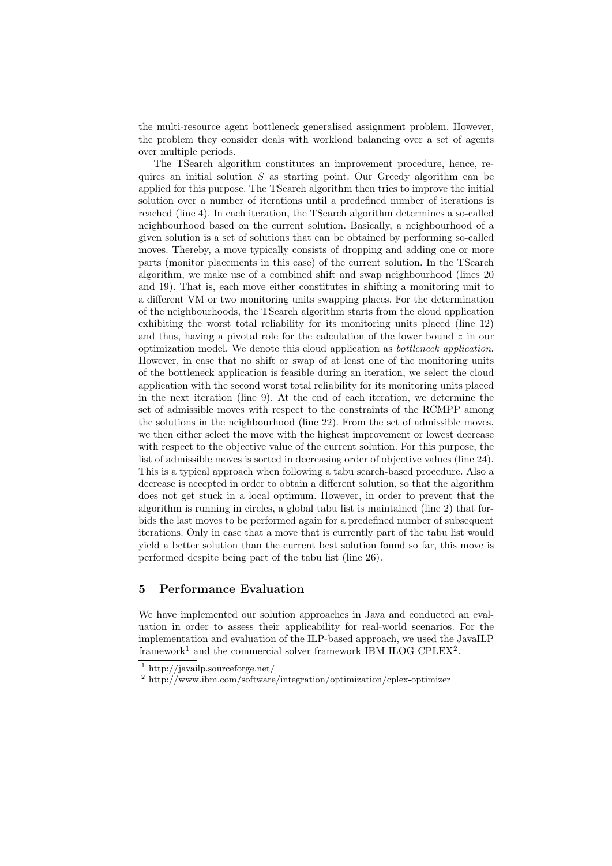the multi-resource agent bottleneck generalised assignment problem. However, the problem they consider deals with workload balancing over a set of agents over multiple periods.

The TSearch algorithm constitutes an improvement procedure, hence, requires an initial solution  $S$  as starting point. Our Greedy algorithm can be applied for this purpose. The TSearch algorithm then tries to improve the initial solution over a number of iterations until a predefined number of iterations is reached (line 4). In each iteration, the TSearch algorithm determines a so-called neighbourhood based on the current solution. Basically, a neighbourhood of a given solution is a set of solutions that can be obtained by performing so-called moves. Thereby, a move typically consists of dropping and adding one or more parts (monitor placements in this case) of the current solution. In the TSearch algorithm, we make use of a combined shift and swap neighbourhood (lines 20 and 19). That is, each move either constitutes in shifting a monitoring unit to a different VM or two monitoring units swapping places. For the determination of the neighbourhoods, the TSearch algorithm starts from the cloud application exhibiting the worst total reliability for its monitoring units placed (line 12) and thus, having a pivotal role for the calculation of the lower bound  $z$  in our optimization model. We denote this cloud application as bottleneck application. However, in case that no shift or swap of at least one of the monitoring units of the bottleneck application is feasible during an iteration, we select the cloud application with the second worst total reliability for its monitoring units placed in the next iteration (line 9). At the end of each iteration, we determine the set of admissible moves with respect to the constraints of the RCMPP among the solutions in the neighbourhood (line 22). From the set of admissible moves, we then either select the move with the highest improvement or lowest decrease with respect to the objective value of the current solution. For this purpose, the list of admissible moves is sorted in decreasing order of objective values (line 24). This is a typical approach when following a tabu search-based procedure. Also a decrease is accepted in order to obtain a different solution, so that the algorithm does not get stuck in a local optimum. However, in order to prevent that the algorithm is running in circles, a global tabu list is maintained (line 2) that forbids the last moves to be performed again for a predefined number of subsequent iterations. Only in case that a move that is currently part of the tabu list would yield a better solution than the current best solution found so far, this move is performed despite being part of the tabu list (line 26).

# 5 Performance Evaluation

We have implemented our solution approaches in Java and conducted an evaluation in order to assess their applicability for real-world scenarios. For the implementation and evaluation of the ILP-based approach, we used the JavaILP framework<sup>1</sup> and the commercial solver framework IBM ILOG CPLEX<sup>2</sup>.

<sup>1</sup> http://javailp.sourceforge.net/

<sup>2</sup> http://www.ibm.com/software/integration/optimization/cplex-optimizer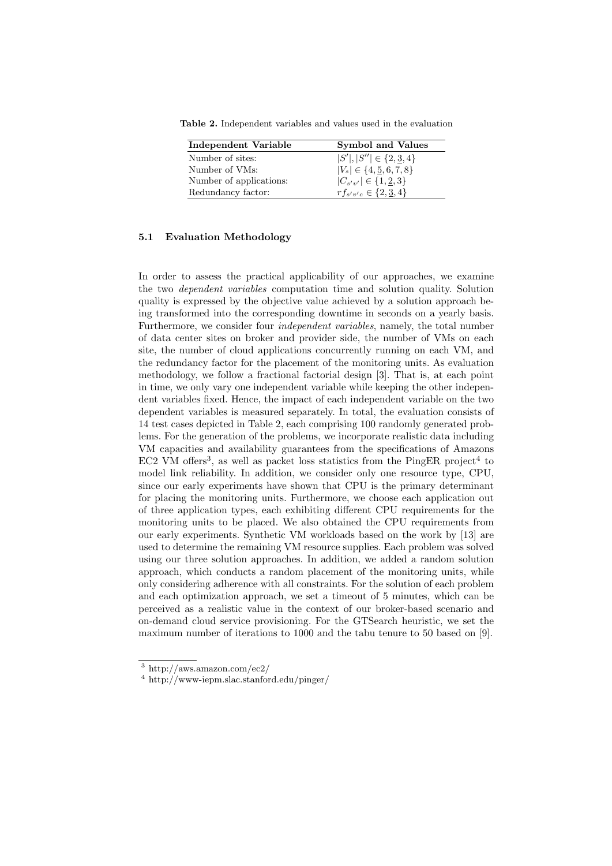Table 2. Independent variables and values used in the evaluation

| Independent Variable    | <b>Symbol and Values</b>                  |
|-------------------------|-------------------------------------------|
| Number of sites:        | $ S' ,  S''  \in \{2, \underline{3}, 4\}$ |
| Number of VMs:          | $ V_s  \in \{4, 5, 6, 7, 8\}$             |
| Number of applications: | $ C_{s'v'}  \in \{1,2,3\}$                |
| Redundancy factor:      | $rf_{s'v'c} \in \{2, \underline{3}, 4\}$  |

## 5.1 Evaluation Methodology

In order to assess the practical applicability of our approaches, we examine the two dependent variables computation time and solution quality. Solution quality is expressed by the objective value achieved by a solution approach being transformed into the corresponding downtime in seconds on a yearly basis. Furthermore, we consider four independent variables, namely, the total number of data center sites on broker and provider side, the number of VMs on each site, the number of cloud applications concurrently running on each VM, and the redundancy factor for the placement of the monitoring units. As evaluation methodology, we follow a fractional factorial design [3]. That is, at each point in time, we only vary one independent variable while keeping the other independent variables fixed. Hence, the impact of each independent variable on the two dependent variables is measured separately. In total, the evaluation consists of 14 test cases depicted in Table 2, each comprising 100 randomly generated problems. For the generation of the problems, we incorporate realistic data including VM capacities and availability guarantees from the specifications of Amazons  $EC2$  VM offers<sup>3</sup>, as well as packet loss statistics from the PingER project<sup>4</sup> to model link reliability. In addition, we consider only one resource type, CPU, since our early experiments have shown that CPU is the primary determinant for placing the monitoring units. Furthermore, we choose each application out of three application types, each exhibiting different CPU requirements for the monitoring units to be placed. We also obtained the CPU requirements from our early experiments. Synthetic VM workloads based on the work by [13] are used to determine the remaining VM resource supplies. Each problem was solved using our three solution approaches. In addition, we added a random solution approach, which conducts a random placement of the monitoring units, while only considering adherence with all constraints. For the solution of each problem and each optimization approach, we set a timeout of 5 minutes, which can be perceived as a realistic value in the context of our broker-based scenario and on-demand cloud service provisioning. For the GTSearch heuristic, we set the maximum number of iterations to 1000 and the tabu tenure to 50 based on [9].

<sup>3</sup> http://aws.amazon.com/ec2/

<sup>4</sup> http://www-iepm.slac.stanford.edu/pinger/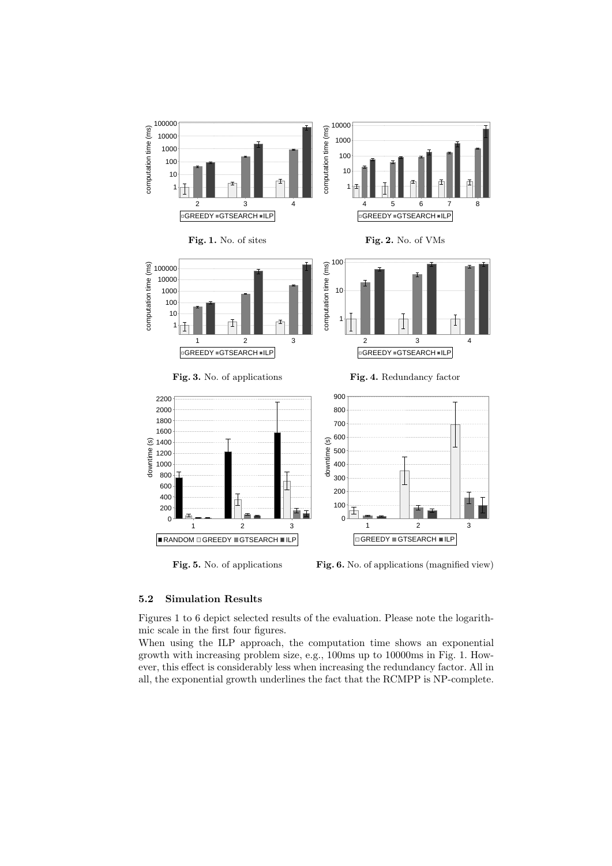

Fig. 5. No. of applications

Fig. 6. No. of applications (magnified view)

## 5.2 Simulation Results

Figures 1 to 6 depict selected results of the evaluation. Please note the logarithmic scale in the first four figures.

When using the ILP approach, the computation time shows an exponential growth with increasing problem size, e.g., 100ms up to 10000ms in Fig. 1. However, this effect is considerably less when increasing the redundancy factor. All in all, the exponential growth underlines the fact that the RCMPP is NP-complete.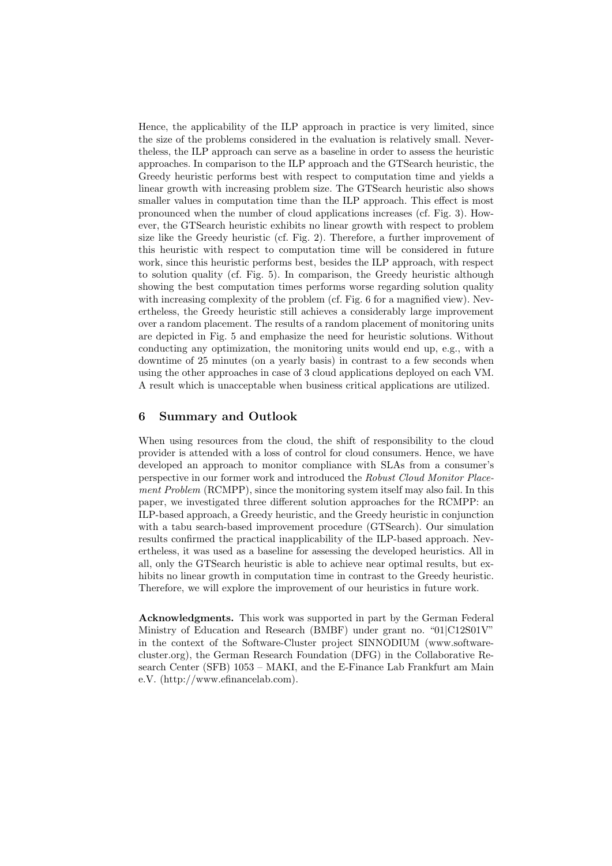Hence, the applicability of the ILP approach in practice is very limited, since the size of the problems considered in the evaluation is relatively small. Nevertheless, the ILP approach can serve as a baseline in order to assess the heuristic approaches. In comparison to the ILP approach and the GTSearch heuristic, the Greedy heuristic performs best with respect to computation time and yields a linear growth with increasing problem size. The GTSearch heuristic also shows smaller values in computation time than the ILP approach. This effect is most pronounced when the number of cloud applications increases (cf. Fig. 3). However, the GTSearch heuristic exhibits no linear growth with respect to problem size like the Greedy heuristic (cf. Fig. 2). Therefore, a further improvement of this heuristic with respect to computation time will be considered in future work, since this heuristic performs best, besides the ILP approach, with respect to solution quality (cf. Fig. 5). In comparison, the Greedy heuristic although showing the best computation times performs worse regarding solution quality with increasing complexity of the problem (cf. Fig. 6 for a magnified view). Nevertheless, the Greedy heuristic still achieves a considerably large improvement over a random placement. The results of a random placement of monitoring units are depicted in Fig. 5 and emphasize the need for heuristic solutions. Without conducting any optimization, the monitoring units would end up, e.g., with a downtime of 25 minutes (on a yearly basis) in contrast to a few seconds when using the other approaches in case of 3 cloud applications deployed on each VM. A result which is unacceptable when business critical applications are utilized.

## 6 Summary and Outlook

When using resources from the cloud, the shift of responsibility to the cloud provider is attended with a loss of control for cloud consumers. Hence, we have developed an approach to monitor compliance with SLAs from a consumer's perspective in our former work and introduced the Robust Cloud Monitor Placement Problem (RCMPP), since the monitoring system itself may also fail. In this paper, we investigated three different solution approaches for the RCMPP: an ILP-based approach, a Greedy heuristic, and the Greedy heuristic in conjunction with a tabu search-based improvement procedure (GTSearch). Our simulation results confirmed the practical inapplicability of the ILP-based approach. Nevertheless, it was used as a baseline for assessing the developed heuristics. All in all, only the GTSearch heuristic is able to achieve near optimal results, but exhibits no linear growth in computation time in contrast to the Greedy heuristic. Therefore, we will explore the improvement of our heuristics in future work.

Acknowledgments. This work was supported in part by the German Federal Ministry of Education and Research (BMBF) under grant no. "01|C12S01V" in the context of the Software-Cluster project SINNODIUM (www.softwarecluster.org), the German Research Foundation (DFG) in the Collaborative Research Center (SFB) 1053 – MAKI, and the E-Finance Lab Frankfurt am Main e.V. (http://www.efinancelab.com).